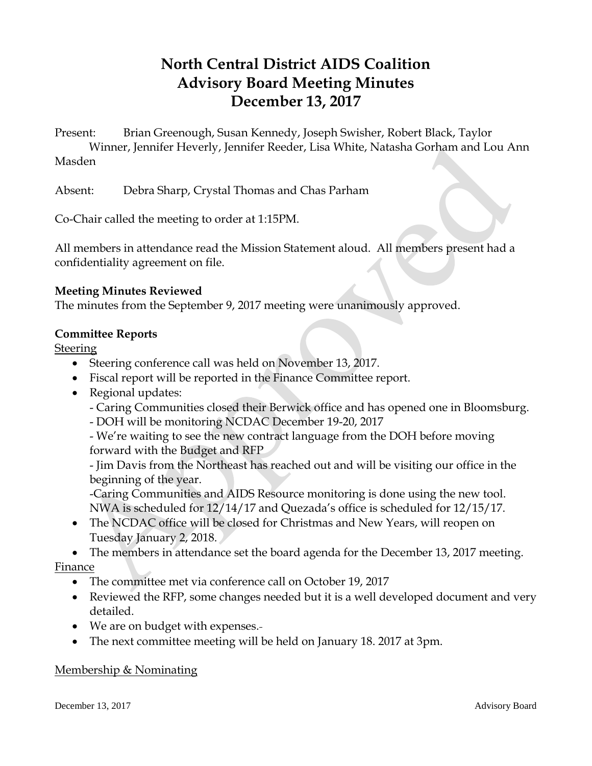# **North Central District AIDS Coalition Advisory Board Meeting Minutes December 13, 2017**

Present: Brian Greenough, Susan Kennedy, Joseph Swisher, Robert Black, Taylor Winner, Jennifer Heverly, Jennifer Reeder, Lisa White, Natasha Gorham and Lou Ann Masden

Absent: Debra Sharp, Crystal Thomas and Chas Parham

Co-Chair called the meeting to order at 1:15PM.

All members in attendance read the Mission Statement aloud. All members present had a confidentiality agreement on file.

### **Meeting Minutes Reviewed**

The minutes from the September 9, 2017 meeting were unanimously approved.

## **Committee Reports**

**Steering** 

- Steering conference call was held on November 13, 2017.
- Fiscal report will be reported in the Finance Committee report.
- Regional updates:
	- Caring Communities closed their Berwick office and has opened one in Bloomsburg.
	- DOH will be monitoring NCDAC December 19-20, 2017

- We're waiting to see the new contract language from the DOH before moving forward with the Budget and RFP

- Jim Davis from the Northeast has reached out and will be visiting our office in the beginning of the year.

-Caring Communities and AIDS Resource monitoring is done using the new tool. NWA is scheduled for 12/14/17 and Quezada's office is scheduled for 12/15/17.

• The NCDAC office will be closed for Christmas and New Years, will reopen on Tuesday January 2, 2018.

 The members in attendance set the board agenda for the December 13, 2017 meeting. Finance

- The committee met via conference call on October 19, 2017
- Reviewed the RFP, some changes needed but it is a well developed document and very detailed.
- We are on budget with expenses.
- The next committee meeting will be held on January 18. 2017 at 3pm.

### Membership & Nominating